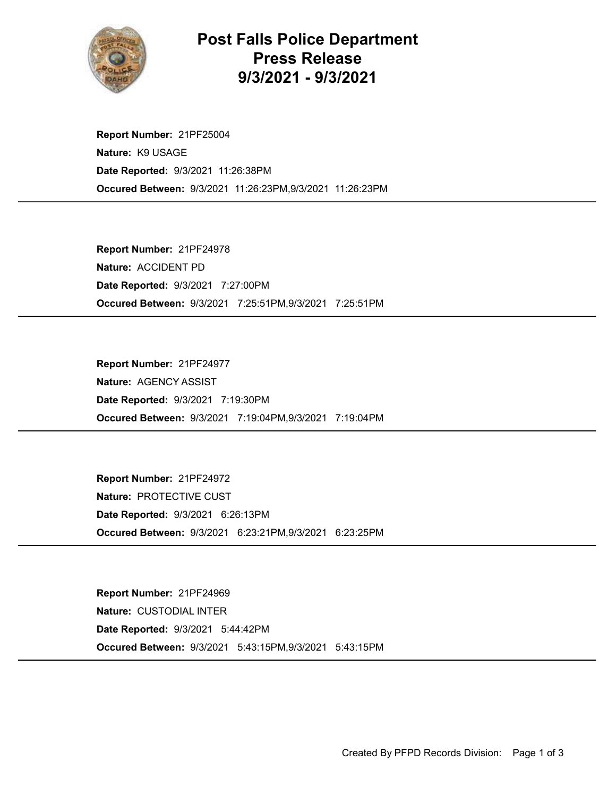

Post Falls Police Department Press Release 9/3/2021 - 9/3/2021

Occured Between: 9/3/2021 11:26:23PM,9/3/2021 11:26:23PM Report Number: 21PF25004 Nature: K9 USAGE Date Reported: 9/3/2021 11:26:38PM

Occured Between: 9/3/2021 7:25:51PM,9/3/2021 7:25:51PM Report Number: 21PF24978 Nature: ACCIDENT PD Date Reported: 9/3/2021 7:27:00PM

Occured Between: 9/3/2021 7:19:04PM,9/3/2021 7:19:04PM Report Number: 21PF24977 Nature: AGENCY ASSIST Date Reported: 9/3/2021 7:19:30PM

Occured Between: 9/3/2021 6:23:21PM,9/3/2021 6:23:25PM Report Number: 21PF24972 Nature: PROTECTIVE CUST Date Reported: 9/3/2021 6:26:13PM

Occured Between: 9/3/2021 5:43:15PM,9/3/2021 5:43:15PM Report Number: 21PF24969 Nature: CUSTODIAL INTER Date Reported: 9/3/2021 5:44:42PM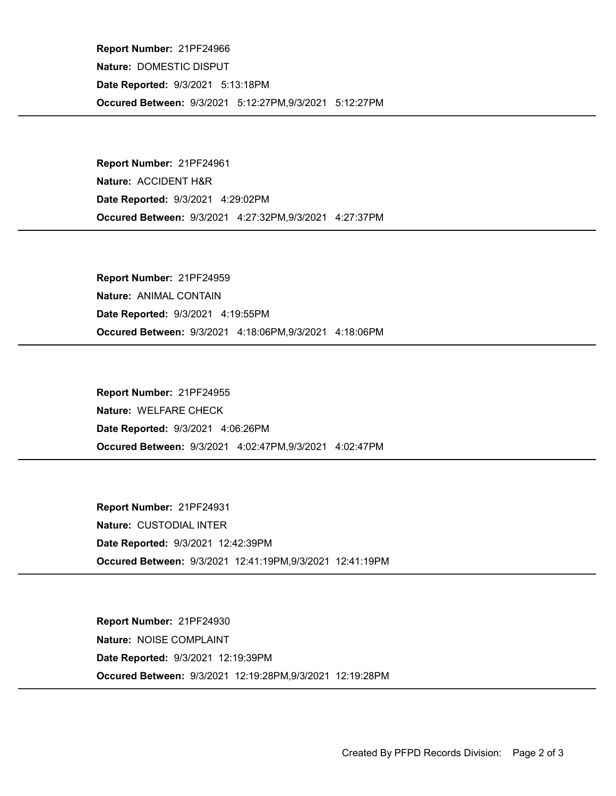Occured Between: 9/3/2021 5:12:27PM,9/3/2021 5:12:27PM Report Number: 21PF24966 Nature: DOMESTIC DISPUT Date Reported: 9/3/2021 5:13:18PM

Occured Between: 9/3/2021 4:27:32PM,9/3/2021 4:27:37PM Report Number: 21PF24961 Nature: ACCIDENT H&R Date Reported: 9/3/2021 4:29:02PM

Occured Between: 9/3/2021 4:18:06PM,9/3/2021 4:18:06PM Report Number: 21PF24959 Nature: ANIMAL CONTAIN Date Reported: 9/3/2021 4:19:55PM

Occured Between: 9/3/2021 4:02:47PM,9/3/2021 4:02:47PM Report Number: 21PF24955 Nature: WELFARE CHECK Date Reported: 9/3/2021 4:06:26PM

Occured Between: 9/3/2021 12:41:19PM,9/3/2021 12:41:19PM Report Number: 21PF24931 Nature: CUSTODIAL INTER Date Reported: 9/3/2021 12:42:39PM

Occured Between: 9/3/2021 12:19:28PM,9/3/2021 12:19:28PM Report Number: 21PF24930 Nature: NOISE COMPLAINT Date Reported: 9/3/2021 12:19:39PM